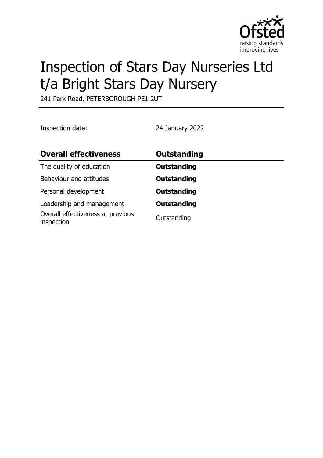

# Inspection of Stars Day Nurseries Ltd t/a Bright Stars Day Nursery

241 Park Road, PETERBOROUGH PE1 2UT

Inspection date: 24 January 2022

| <b>Overall effectiveness</b>                                                 | Outstanding                       |
|------------------------------------------------------------------------------|-----------------------------------|
| The quality of education                                                     | <b>Outstanding</b>                |
| Behaviour and attitudes                                                      | <b>Outstanding</b>                |
| Personal development                                                         | <b>Outstanding</b>                |
| Leadership and management<br>Overall effectiveness at previous<br>inspection | <b>Outstanding</b><br>Outstanding |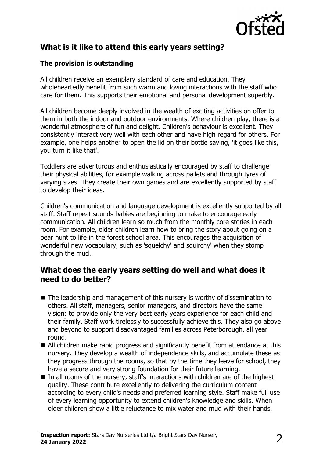

## **What is it like to attend this early years setting?**

#### **The provision is outstanding**

All children receive an exemplary standard of care and education. They wholeheartedly benefit from such warm and loving interactions with the staff who care for them. This supports their emotional and personal development superbly.

All children become deeply involved in the wealth of exciting activities on offer to them in both the indoor and outdoor environments. Where children play, there is a wonderful atmosphere of fun and delight. Children's behaviour is excellent. They consistently interact very well with each other and have high regard for others. For example, one helps another to open the lid on their bottle saying, 'it goes like this, you turn it like that'.

Toddlers are adventurous and enthusiastically encouraged by staff to challenge their physical abilities, for example walking across pallets and through tyres of varying sizes. They create their own games and are excellently supported by staff to develop their ideas.

Children's communication and language development is excellently supported by all staff. Staff repeat sounds babies are beginning to make to encourage early communication. All children learn so much from the monthly core stories in each room. For example, older children learn how to bring the story about going on a bear hunt to life in the forest school area. This encourages the acquisition of wonderful new vocabulary, such as 'squelchy' and squirchy' when they stomp through the mud.

## **What does the early years setting do well and what does it need to do better?**

- $\blacksquare$  The leadership and management of this nursery is worthy of dissemination to others. All staff, managers, senior managers, and directors have the same vision: to provide only the very best early years experience for each child and their family. Staff work tirelessly to successfully achieve this. They also go above and beyond to support disadvantaged families across Peterborough, all year round.
- All children make rapid progress and significantly benefit from attendance at this nursery. They develop a wealth of independence skills, and accumulate these as they progress through the rooms, so that by the time they leave for school, they have a secure and very strong foundation for their future learning.
- $\blacksquare$  In all rooms of the nursery, staff's interactions with children are of the highest quality. These contribute excellently to delivering the curriculum content according to every child's needs and preferred learning style. Staff make full use of every learning opportunity to extend children's knowledge and skills. When older children show a little reluctance to mix water and mud with their hands,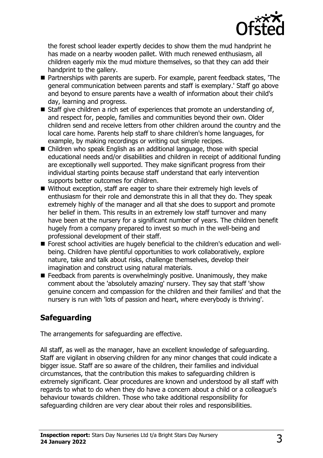

the forest school leader expertly decides to show them the mud handprint he has made on a nearby wooden pallet. With much renewed enthusiasm, all children eagerly mix the mud mixture themselves, so that they can add their handprint to the gallery.

- Partnerships with parents are superb. For example, parent feedback states, 'The general communication between parents and staff is exemplary.' Staff go above and beyond to ensure parents have a wealth of information about their child's day, learning and progress.
- $\blacksquare$  Staff give children a rich set of experiences that promote an understanding of, and respect for, people, families and communities beyond their own. Older children send and receive letters from other children around the country and the local care home. Parents help staff to share children's home languages, for example, by making recordings or writing out simple recipes.
- $\blacksquare$  Children who speak English as an additional language, those with special educational needs and/or disabilities and children in receipt of additional funding are exceptionally well supported. They make significant progress from their individual starting points because staff understand that early intervention supports better outcomes for children.
- Without exception, staff are eager to share their extremely high levels of enthusiasm for their role and demonstrate this in all that they do. They speak extremely highly of the manager and all that she does to support and promote her belief in them. This results in an extremely low staff turnover and many have been at the nursery for a significant number of years. The children benefit hugely from a company prepared to invest so much in the well-being and professional development of their staff.
- Forest school activities are hugely beneficial to the children's education and wellbeing. Children have plentiful opportunities to work collaboratively, explore nature, take and talk about risks, challenge themselves, develop their imagination and construct using natural materials.
- $\blacksquare$  Feedback from parents is overwhelmingly positive. Unanimously, they make comment about the 'absolutely amazing' nursery. They say that staff 'show genuine concern and compassion for the children and their families' and that the nursery is run with 'lots of passion and heart, where everybody is thriving'.

## **Safeguarding**

The arrangements for safeguarding are effective.

All staff, as well as the manager, have an excellent knowledge of safeguarding. Staff are vigilant in observing children for any minor changes that could indicate a bigger issue. Staff are so aware of the children, their families and individual circumstances, that the contribution this makes to safeguarding children is extremely significant. Clear procedures are known and understood by all staff with regards to what to do when they do have a concern about a child or a colleague's behaviour towards children. Those who take additional responsibility for safeguarding children are very clear about their roles and responsibilities.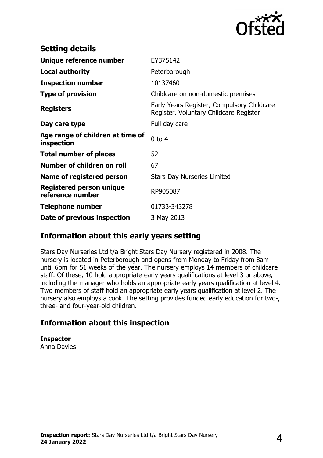

| <b>Setting details</b>                         |                                                                                      |
|------------------------------------------------|--------------------------------------------------------------------------------------|
| Unique reference number                        | EY375142                                                                             |
| <b>Local authority</b>                         | Peterborough                                                                         |
| <b>Inspection number</b>                       | 10137460                                                                             |
| <b>Type of provision</b>                       | Childcare on non-domestic premises                                                   |
| <b>Registers</b>                               | Early Years Register, Compulsory Childcare<br>Register, Voluntary Childcare Register |
| Day care type                                  | Full day care                                                                        |
| Age range of children at time of<br>inspection | $0$ to 4                                                                             |
| <b>Total number of places</b>                  | 52                                                                                   |
| Number of children on roll                     | 67                                                                                   |
| Name of registered person                      | <b>Stars Day Nurseries Limited</b>                                                   |
| Registered person unique<br>reference number   | RP905087                                                                             |
| Telephone number                               | 01733-343278                                                                         |
| Date of previous inspection                    | 3 May 2013                                                                           |

## **Information about this early years setting**

Stars Day Nurseries Ltd t/a Bright Stars Day Nursery registered in 2008. The nursery is located in Peterborough and opens from Monday to Friday from 8am until 6pm for 51 weeks of the year. The nursery employs 14 members of childcare staff. Of these, 10 hold appropriate early years qualifications at level 3 or above, including the manager who holds an appropriate early years qualification at level 4. Two members of staff hold an appropriate early years qualification at level 2. The nursery also employs a cook. The setting provides funded early education for two-, three- and four-year-old children.

## **Information about this inspection**

**Inspector** Anna Davies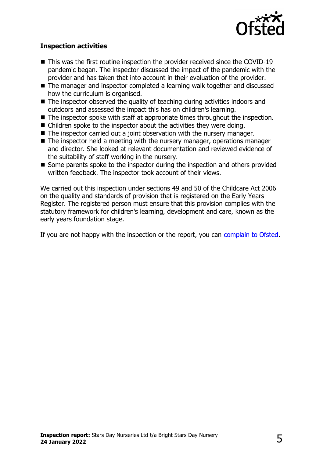

#### **Inspection activities**

- $\blacksquare$  This was the first routine inspection the provider received since the COVID-19 pandemic began. The inspector discussed the impact of the pandemic with the provider and has taken that into account in their evaluation of the provider.
- The manager and inspector completed a learning walk together and discussed how the curriculum is organised.
- $\blacksquare$  The inspector observed the quality of teaching during activities indoors and outdoors and assessed the impact this has on children's learning.
- $\blacksquare$  The inspector spoke with staff at appropriate times throughout the inspection.
- $\blacksquare$  Children spoke to the inspector about the activities they were doing.
- $\blacksquare$  The inspector carried out a joint observation with the nursery manager.
- $\blacksquare$  The inspector held a meeting with the nursery manager, operations manager and director. She looked at relevant documentation and reviewed evidence of the suitability of staff working in the nursery.
- Some parents spoke to the inspector during the inspection and others provided written feedback. The inspector took account of their views.

We carried out this inspection under sections 49 and 50 of the Childcare Act 2006 on the quality and standards of provision that is registered on the Early Years Register. The registered person must ensure that this provision complies with the statutory framework for children's learning, development and care, known as the early years foundation stage.

If you are not happy with the inspection or the report, you can [complain to Ofsted](http://www.gov.uk/complain-ofsted-report).